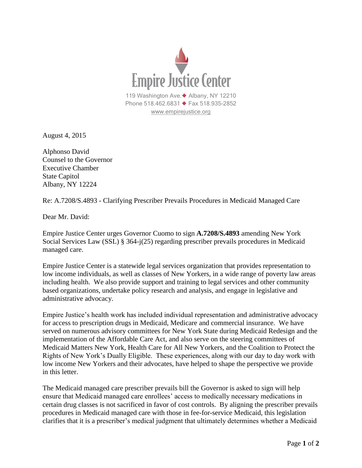

August 4, 2015

Alphonso David Counsel to the Governor Executive Chamber State Capitol Albany, NY 12224

Re: A.7208/S.4893 - Clarifying Prescriber Prevails Procedures in Medicaid Managed Care

Dear Mr. David:

Empire Justice Center urges Governor Cuomo to sign **A.7208/S.4893** amending New York Social Services Law (SSL) § 364-j(25) regarding prescriber prevails procedures in Medicaid managed care.

Empire Justice Center is a statewide legal services organization that provides representation to low income individuals, as well as classes of New Yorkers, in a wide range of poverty law areas including health. We also provide support and training to legal services and other community based organizations, undertake policy research and analysis, and engage in legislative and administrative advocacy.

Empire Justice's health work has included individual representation and administrative advocacy for access to prescription drugs in Medicaid, Medicare and commercial insurance. We have served on numerous advisory committees for New York State during Medicaid Redesign and the implementation of the Affordable Care Act, and also serve on the steering committees of Medicaid Matters New York, Health Care for All New Yorkers, and the Coalition to Protect the Rights of New York's Dually Eligible. These experiences, along with our day to day work with low income New Yorkers and their advocates, have helped to shape the perspective we provide in this letter.

The Medicaid managed care prescriber prevails bill the Governor is asked to sign will help ensure that Medicaid managed care enrollees' access to medically necessary medications in certain drug classes is not sacrificed in favor of cost controls. By aligning the prescriber prevails procedures in Medicaid managed care with those in fee-for-service Medicaid, this legislation clarifies that it is a prescriber's medical judgment that ultimately determines whether a Medicaid